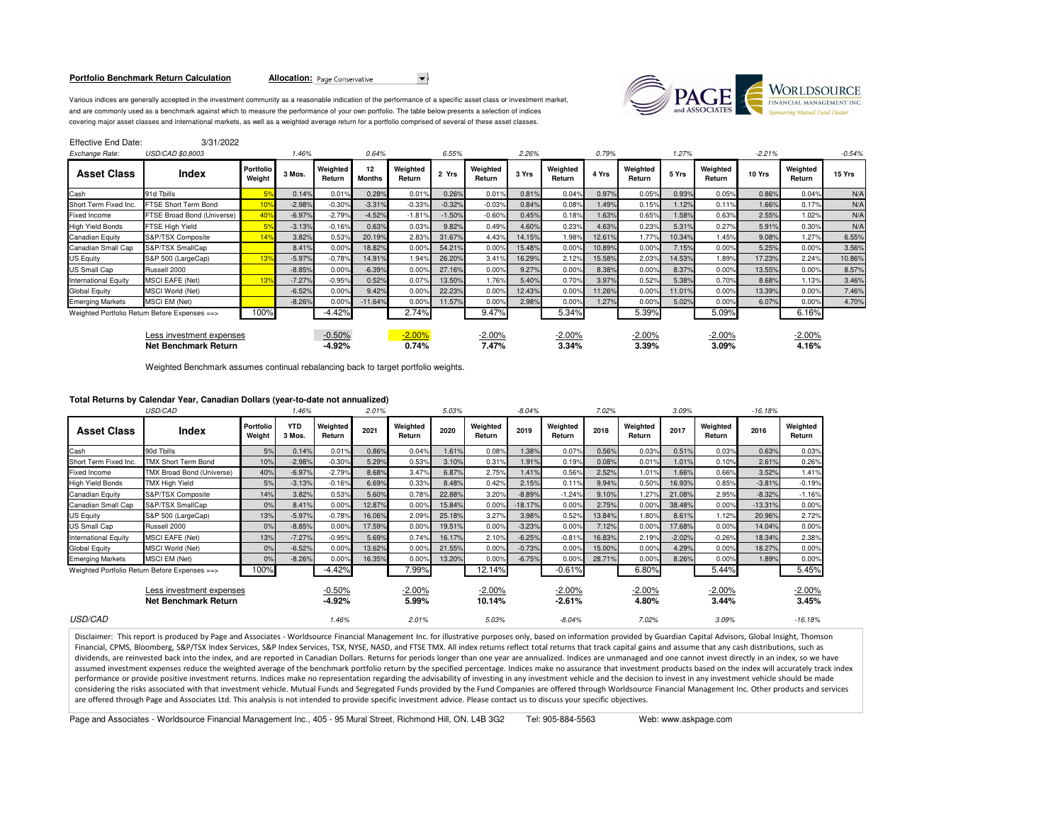### **Portfolio Benchmark Return Calculation**

**Allocation:** Page Conservative



Various indices are generally accepted in the investment community as a reasonable indication of the performance of a specific asset class or investment market,and are commonly used as a benchmark against which to measure the performance of your own portfolio. The table below presents a selection of indices covering major asset classes and international markets, as well as a weighted average return for a portfolio comprised of several of these asset classes.

| Effective End Date:                                     | 3/31/2022                                     |                     |          |                      |                     |                    |          |                    |        |                    |        |                    |        |                    |          |                    |          |
|---------------------------------------------------------|-----------------------------------------------|---------------------|----------|----------------------|---------------------|--------------------|----------|--------------------|--------|--------------------|--------|--------------------|--------|--------------------|----------|--------------------|----------|
| Exchange Rate:                                          | USD/CAD \$0.8003                              |                     | 1.46%    |                      | 0.64%               |                    | 6.55%    |                    | 2.26%  |                    | 0.79%  |                    | 1.27%  |                    | $-2.21%$ |                    | $-0.54%$ |
| <b>Asset Class</b>                                      | Index                                         | Portfolio<br>Weight | 3 Mos.   | Weighted<br>Return   | 12<br><b>Months</b> | Weighted<br>Return | 2 Yrs    | Weighted<br>Return | 3 Yrs  | Weighted<br>Return | 4 Yrs  | Weighted<br>Return | 5 Yrs  | Weighted<br>Return | 10 Yrs   | Weighted<br>Return | 15 Yrs   |
| Cash                                                    | 91d Tbills                                    | 5%                  | 0.14%    | 0.01%                | 0.28%               | 0.01%              | 0.26%    | 0.01%              | 0.81%  | 0.04%              | 0.97%  | 0.05%              | 0.93%  | 0.05%              | 0.86%    | 0.04%              | N/A      |
| Short Term Fixed Inc.                                   | FTSE Short Term Bond                          | 10%                 | $-2.98%$ | $-0.30%$             | $-3.31%$            | $-0.33%$           | $-0.32%$ | $-0.03%$           | 0.84%  | 0.08%              | 1.49%  | 0.15%              | 1.12%  | 0.11%              | 1.66%    | 0.17%              | N/A      |
| Fixed Income                                            | FTSE Broad Bond (Universe)                    | 40%                 | $-6.97%$ | $-2.79%$             | $-4.52%$            | $-1.81%$           | $-1.50%$ | $-0.60%$           | 0.45%  | 0.18%              | 1.63%  | 0.65%              | 1.58%  | 0.63%              | 2.55%    | 1.02%              | N/A      |
| High Yield Bonds                                        | FTSE High Yield                               | 5%                  | $-3.13%$ | $-0.16%$             | 0.63%               | 0.03%              | 9.82%    | 0.49%              | 4.60%  | 0.23%              | 4.63%  | 0.23 <sup>c</sup>  | 5.31%  | 0.27%              | 5.91%    | 0.30%              | N/A      |
| Canadian Equity                                         | S&P/TSX Composite                             | 14%                 | 3.82%    | 0.53%                | 20.19%              | 2.83%              | 31.67%   | 4.43%              | 14.15% | 1.98%              | 12.61% | 1.77%              | 10.34% | 1.45%              | 9.08%    | 1.27%              | 6.55%    |
| Canadian Small Cap                                      | S&P/TSX SmallCap                              |                     | 8.41%    | 0.00%                | 18.82%              | 0.00%              | 54.21%   | 0.00%              | 15.48% | 0.00%              | 10.89% | 0.00%              | 7.15%  | 0.00%              | 5.25%    | 0.00%              | 3.56%    |
| US Equity                                               | S&P 500 (LargeCap)                            | 13 <sup>9</sup>     | $-5.97%$ | $-0.78%$             | 14.91%              | 1.94%              | 26.20%   | 3.41%              | 16.29% | 2.12%              | 15.58% | 2.03 <sup>o</sup>  | 14.53% | 1.89%              | 17.23%   | 2.24%              | 10.86%   |
| JS Small Cap                                            | Russell 2000                                  |                     | $-8.85%$ | 0.00%                | $-6.39%$            | 0.00%              | 27.16%   | 0.00%              | 9.27%  | 0.00%              | 8.38%  | 0.00%              | 8.37%  | 0.00%              | 13.55%   | 0.00%              | 8.57%    |
| nternational Equity                                     | <b>MSCI EAFE (Net)</b>                        | 13%                 | $-7.27%$ | $-0.95%$             | 0.52%               | 0.07%              | 13.50%   | 1.76%              | 5.40%  | 0.70%              | 3.97%  | 0.52%              | 5.38%  | 0.70%              | 8.68%    | 1.13%              | 3.46%    |
| Global Equity                                           | <b>MSCI World (Net)</b>                       |                     | $-6.52%$ | 0.00%                | 9.42%               | 0.00%              | 22.23%   | 0.00%              | 12.43% | 0.00%              | 11.26% | 0.00%              | 11.01% | 0.00%              | 13.39%   | 0.00%              | 7.46%    |
| <b>Emerging Markets</b>                                 | MSCI EM (Net)                                 |                     | $-8.26%$ | 0.00%                | $-11.64%$           | $0.00\%$           | 11.57%   | 0.00%              | 2.98%  | 0.00%              | 1.27%  | 0.00%              | 5.02%  | 0.00%              | 6.07%    | 0.00%              | 4.70%    |
|                                                         | Weighted Portfolio Return Before Expenses ==> | 100%                |          | $-4.42%$             |                     | 2.74%              |          | 9.47%              |        | 5.34%              |        | 5.39%              |        | 5.09%              |          | 6.16%              |          |
| Less investment expenses<br><b>Net Benchmark Return</b> |                                               |                     |          | $-0.50%$<br>$-4.92%$ |                     | $-2.00%$<br>0.74%  |          | $-2.00%$<br>7.47%  |        | $-2.00%$<br>3.34%  |        | $-2.00%$<br>3.39%  |        | $-2.00%$<br>3.09%  |          | $-2.00%$<br>4.16%  |          |
|                                                         |                                               |                     |          |                      |                     |                    |          |                    |        |                    |        |                    |        |                    |          |                    |          |

Weighted Benchmark assumes continual rebalancing back to target portfolio weights.

# **Total Returns by Calendar Year, Canadian Dollars (year-to-date not annualized)**

| USD/CAD                                          |                                                       |                     | 1.46%                |                    | 2.01%              |                    | 5.03%              |                    | $-8.04%$             |                    | 7.02%              |                    | 3.09%             |                    | $-16.18%$         |                    |
|--------------------------------------------------|-------------------------------------------------------|---------------------|----------------------|--------------------|--------------------|--------------------|--------------------|--------------------|----------------------|--------------------|--------------------|--------------------|-------------------|--------------------|-------------------|--------------------|
| <b>Asset Class</b>                               | Index                                                 | Portfolio<br>Weight | <b>YTD</b><br>3 Mos. | Weighted<br>Return | 2021               | Weighted<br>Return | 2020               | Weighted<br>Return | 2019                 | Weighted<br>Return | 2018               | Weighted<br>Return | 2017              | Weighted<br>Return | 2016              | Weighted<br>Return |
| Cash                                             | 90d Tbills                                            | 5%                  | 0.14%                | 0.01%              | 0.86%              | 0.04%              | 1.61%              | 0.08%              | 1.38%                | 0.07%              | 0.56%              | 0.03%              | 0.51%             | 0.03%              | 0.63%             | 0.03%              |
| Short Term Fixed Inc.                            | <b>TMX Short Term Bond</b>                            | 10%                 | $-2.98%$             | $-0.30%$           | 5.29%              | 0.53%              | 3.10%              | 0.31%              | 1.91%                | 0.19%              | 0.08%              | 0.01%              | 1.01%             | 0.10%              | 2.61%             | 0.26%              |
| Fixed Income                                     | TMX Broad Bond (Universe)                             | 40%                 | $-6.97%$             | $-2.79%$           | 8.68%              | 3.47%              | 6.87%              | 2.75%              | 1.41%                | 0.56%              | 2.52%              | 1.01%              | 1.66%             | 0.66%              | 3.52%             | 1.41%              |
| <b>High Yield Bonds</b>                          | <b>TMX High Yield</b>                                 | 5%                  | $-3.13%$             | $-0.16%$           | 6.69%              | 0.33%              | 8.48%              | 0.42%              | 2.15%                | 0.11%              | 9.94%              | 0.50%              | 16.93%            | 0.85%              | $-3.81%$          | $-0.19%$           |
| <b>Canadian Equity</b>                           | S&P/TSX Composite                                     | 14%                 | 3.82%                | 0.53%              | 5.60%              | 0.78%              | 22.88%             | 3.20%              | $-8.89%$             | $-1.24%$           | 9.10%              | 1.27%              | 21.08%            | 2.95%              | $-8.32%$          | $-1.16%$           |
| Canadian Small Cap                               | S&P/TSX SmallCap                                      | 0%                  | 8.41%                | 0.00%              | 12.87%             | 0.00%              | 15.84%             | 0.00%              | $-18.17%$            | 0.00%              | 2.75%              | 0.00%              | 38.48%            | 0.00%              | $-13.31%$         | 0.00%              |
| US Equity                                        | S&P 500 (LargeCap)                                    | 13%                 | $-5.97%$             | $-0.78%$           | 16.06%             | 2.09%              | 25.18%             | 3.27%              | 3.98%                | 0.52%              | 13.84%             | 1.80%              | 8.61%             | 1.12%              | 20.96%            | 2.72%              |
| US Small Cap                                     | Russell 2000                                          | 0%                  | $-8.85%$             | 0.00%              | 17.59%             | 0.00%              | 19.51%             | 0.00%              | $-3.23%$             | 0.00%              | 7.12%              | 0.00%              | 17.68%            | 0.00%              | 14.04%            | 0.00%              |
| <b>International Equity</b>                      | <b>MSCI EAFE (Net)</b>                                | 13%                 | $-7.27%$             | $-0.95%$           | 5.69%              | 0.74%              | 16.17%             | 2.10%              | $-6.25%$             | $-0.81%$           | 16.83%             | 2.19%              | $-2.02%$          | $-0.26%$           | 18.34%            | 2.38%              |
| <b>Global Equity</b>                             | MSCI World (Net)                                      | 0%                  | $-6.52%$             | 0.00%              | 13.62%             | 0.00%              | 21.55%             | 0.00%              | $-0.73%$             | 0.00%              | 15.00%             | 0.00%              | 4.29%             | 0.00%              | 18.27%            | 0.00%              |
| <b>Emerging Markets</b>                          | MSCI EM (Net)                                         | 0%                  | $-8.26%$             | 0.00%              | 16.35%             | 0.00%              | 13.20%             | 0.00%              | $-6.75%$             | 0.00%              | 28.71%             | 0.00%              | 8.26%             | 0.00%              | 1.89%             | 0.00%              |
|                                                  | 100%<br>Weighted Portfolio Return Before Expenses ==> |                     |                      | $-4.42%$           |                    | 7.99%              |                    | 12.14%             |                      | $-0.61%$           |                    | 6.80%              |                   | 5.44%              |                   | 5.45%              |
| Less investment expenses<br>Net Benchmark Return |                                                       |                     | $-0.50%$<br>$-4.92%$ |                    | $-2.00\%$<br>5.99% |                    | $-2.00%$<br>10.14% |                    | $-2.00%$<br>$-2.61%$ |                    | $-2.00\%$<br>4.80% |                    | $-2.00%$<br>3.44% |                    | $-2.00%$<br>3.45% |                    |
| <b>USD/CAD</b>                                   |                                                       |                     |                      | 1.46%              |                    | 2.01%              |                    | 5.03%              |                      | $-8.04%$           |                    | 7.02%              |                   | 3.09%              |                   | $-16.18%$          |

Disclaimer: This report is produced by Page and Associates - Worldsource Financial Management Inc. for illustrative purposes only, based on information provided by Guardian Capital Advisors, Global Insight, Thomson Financial, CPMS, Bloomberg, S&P/TSX Index Services, S&P Index Services, TSX, NYSE, NASD, and FTSE TMX. All index returns reflect total returns that track capital gains and assume that any cash distributions, such as dividends, are reinvested back into the index, and are reported in Canadian Dollars. Returns for periods longer than one year are annualized. Indices are unmanaged and one cannot invest directly in an index, so we have assumed investment expenses reduce the weighted average of the benchmark portfolio return by the specified percentage. Indices make no assurance that investment products based on the index will accurately track index performance or provide positive investment returns. Indices make no representation regarding the advisability of investing in any investment vehicle and the decision to invest in any investment vehicle should be made considering the risks associated with that investment vehicle. Mutual Funds and Segregated Funds provided by the Fund Companies are offered through Worldsource Financial Management Inc. Other products and services are offered through Page and Associates Ltd. This analysis is not intended to provide specific investment advice. Please contact us to discuss your specific objectives.

Page and Associates - Worldsource Financial Management Inc., 405 - 95 Mural Street, Richmond Hill, ON. L4B 3G2 Tel: 905-884-5563 Web: www.askpage.com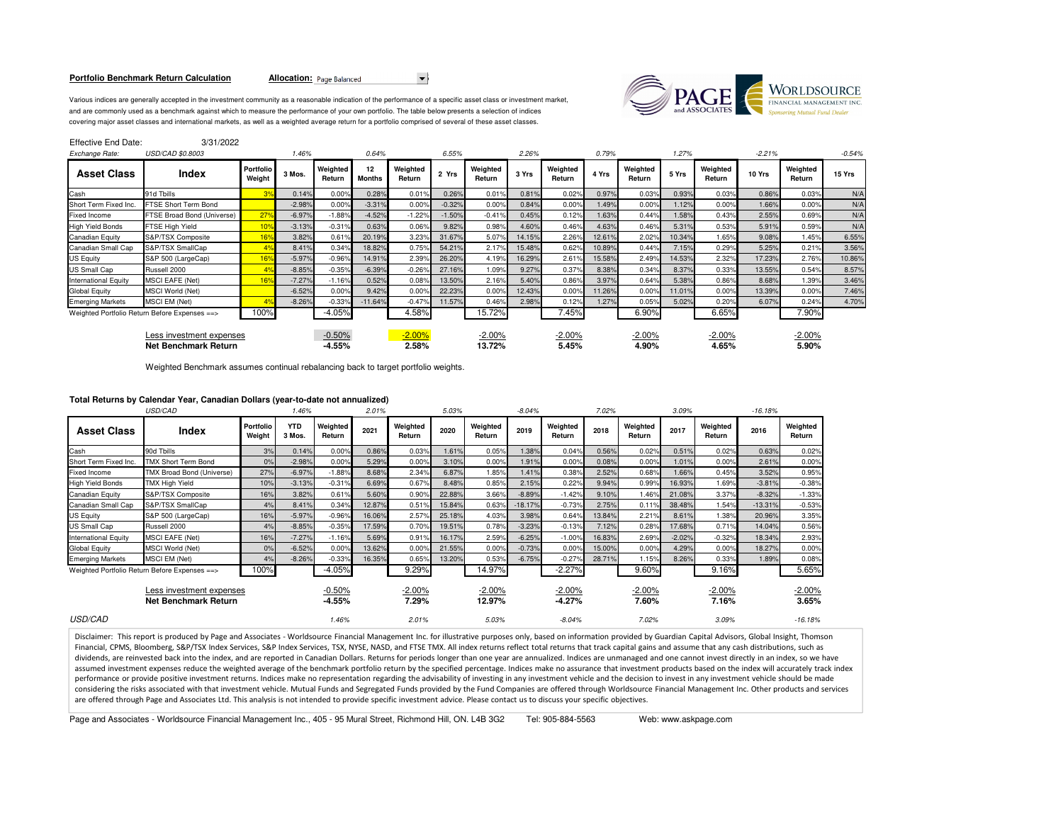### **Portfolio Benchmark Return Calculation**

Allocation: Page Balanced



Various indices are generally accepted in the investment community as a reasonable indication of the performance of a specific asset class or investment market,and are commonly used as a benchmark against which to measure the performance of your own portfolio. The table below presents a selection of indices covering major asset classes and international markets, as well as a weighted average return for a portfolio comprised of several of these asset classes.

| Effective End Date: | 3/31/2022 |
|---------------------|-----------|
|---------------------|-----------|

| Exchange Rate:                                   | USD/CAD \$0.8003                              |                            | 1.46%    |                      | 0.64%               |                    | 6.55%    |                    | 2.26%  |                    | 0.79%  |                    | 1.27%  |                    | $-2.21%$ |                    | $-0.54%$ |
|--------------------------------------------------|-----------------------------------------------|----------------------------|----------|----------------------|---------------------|--------------------|----------|--------------------|--------|--------------------|--------|--------------------|--------|--------------------|----------|--------------------|----------|
| <b>Asset Class</b>                               | <b>Index</b>                                  | <b>Portfolio</b><br>Weight | 3 Mos.   | Weighted<br>Return   | 12<br><b>Months</b> | Weighted<br>Return | 2 Yrs    | Weighted<br>Return | 3 Yrs  | Weighted<br>Return | 4 Yrs  | Weighted<br>Return | 5 Yrs  | Weighted<br>Return | 10 Yrs   | Weighted<br>Return | 15 Yrs   |
| Cash                                             | 91d Tbills                                    |                            | 0.14%    | 0.00%                | 0.28%               | 0.01%              | 0.26%    | 0.01%              | 0.81%  | 0.02%              | 0.97%  | 0.03%              | 0.93%  | 0.03%              | 0.86%    | 0.03%              | N/A      |
| Short Term Fixed Inc.                            | FTSE Short Term Bond                          |                            | $-2.98%$ | 0.00%                | $-3.31%$            | 0.00%              | $-0.32%$ | 0.00%              | 0.84%  | 0.00%              | 1.49%  | 0.00%              | 1.12%  | 0.00%              | 1.66%    | 0.00%              | N/A      |
| Fixed Income                                     | FTSE Broad Bond (Universe)                    | 27 <sup>o</sup>            | $-6.97%$ | $-1.88%$             | $-4.52%$            | $-1.22%$           | $-1.50%$ | $-0.41%$           | 0.45%  | 0.12%              | 1.63%  | 0.44%              | 1.58%  | 0.43%              | 2.55%    | 0.69%              | N/A      |
| <b>High Yield Bonds</b>                          | FTSE High Yield                               | 10 <sub>1</sub>            | $-3.13%$ | $-0.31%$             | 0.63%               | 0.06%              | 9.82%    | 0.98%              | 4.60%  | 0.46%              | 4.63%  | 0.46%              | 5.31%  | 0.53%              | 5.91%    | 0.59%              | N/A      |
| Canadian Equity                                  | S&P/TSX Composite                             | 16 <sup>°</sup>            | 3.82%    | 0.61%                | 20.19%              | 3.23%              | 31.67%   | 5.07%              | 14.15% | 2.26%              | 12.61% | 2.02%              | 10.34% | 1.65%              | 9.08%    | 1.45%              | 6.55%    |
| Canadian Small Cap                               | S&P/TSX SmallCap                              |                            | 8.41%    | 0.34%                | 18.82%              | 0.75%              | 54.21%   | 2.17%              | 15.48% | 0.62%              | 10.89% | 0.44%              | 7.15%  | 0.29%              | 5.25%    | 0.21%              | 3.56%    |
| US Equity                                        | S&P 500 (LargeCap)                            | 16 <sup>°</sup>            | $-5.97%$ | $-0.96%$             | 14.91%              | 2.39%              | 26.20%   | 4.19%              | 16.29% | 2.61%              | 15.58% | 2.49%              | 14.53% | 2.32%              | 17.23%   | 2.76%              | 10.86%   |
| <b>US Small Cap</b>                              | Russell 2000                                  |                            | $-8.85%$ | $-0.35%$             | $-6.39%$            | $-0.26%$           | 27.16%   | 1.09%              | 9.27%  | 0.37%              | 8.38%  | 0.34%              | 8.37%  | 0.33%              | 13.55%   | 0.54%              | 8.57%    |
| <b>International Equity</b>                      | <b>MSCI EAFE (Net)</b>                        | 16 <sup>°</sup>            | $-7.27%$ | $-1.16%$             | 0.52%               | 0.08%              | 13.50%   | 2.16%              | 5.40%  | 0.86%              | 3.97%  | 0.64%              | 5.38%  | 0.86%              | 8.68%    | 1.39%              | 3.46%    |
| Global Equity                                    | MSCI World (Net)                              |                            | $-6.52%$ | 0.00%                | 9.42%               | 0.00%              | 22.23%   | 0.00%              | 12.43% | 0.00%              | 11.26% | 0.00               | 11.01% | 0.00%              | 13.39%   | 0.00%              | 7.46%    |
| <b>Emerging Markets</b>                          | MSCI EM (Net)                                 |                            | $-8.26%$ | $-0.33%$             | $-11.64%$           | $-0.47%$           | 11.57%   | 0.46%              | 2.98%  | 0.12%              | 1.27%  | 0.05%              | 5.02%  | 0.20%              | 6.07%    | 0.24%              | 4.70%    |
|                                                  | Weighted Portfolio Return Before Expenses ==> | 100%                       |          | $-4.05%$             |                     | 4.58%              |          | 15.72%             |        | 7.45%              |        | 6.90%              |        | 6.65%              |          | 7.90%              |          |
| Less investment expenses<br>Net Benchmark Return |                                               |                            |          | $-0.50%$<br>$-4.55%$ |                     | $-2.00%$<br>2.58%  |          | $-2.00%$<br>13.72% |        | $-2.00%$<br>5.45%  |        | $-2.00%$<br>4.90%  |        | $-2.00\%$<br>4.65% |          | $-2.00%$<br>5.90%  |          |

Weighted Benchmark assumes continual rebalancing back to target portfolio weights.

# **Total Returns by Calendar Year, Canadian Dollars (year-to-date not annualized)**

|                                                         | USD/CAD                    |                     | 1.46%                |                      | 5.03%<br>2.01% |                    | $-8.04%$ |                    |           | 7.02%<br>3.09%        |        |                    | $-16.18%$ |                    |           |                    |
|---------------------------------------------------------|----------------------------|---------------------|----------------------|----------------------|----------------|--------------------|----------|--------------------|-----------|-----------------------|--------|--------------------|-----------|--------------------|-----------|--------------------|
| <b>Asset Class</b>                                      | Index                      | Portfolio<br>Weight | <b>YTD</b><br>3 Mos. | Weighted<br>Return   | 2021           | Weighted<br>Return | 2020     | Weighted<br>Return | 2019      | Weighted<br>Return    | 2018   | Weighted<br>Return | 2017      | Weighted<br>Return | 2016      | Weighted<br>Return |
| Cash                                                    | 90d Tbills                 | 3%                  | 0.14%                | 0.00%                | 0.86%          | 0.03%              | 1.61%    | 0.05%              | 1.38%     | 0.04%                 | 0.56%  | 0.02%              | 0.51%     | 0.02%              | 0.63%     | 0.02%              |
| Short Term Fixed Inc.                                   | <b>TMX Short Term Bond</b> | 0%                  | $-2.98%$             | 0.00%                | 5.29%          | 0.00%              | 3.10%    | 0.00%              | 1.91%     | 0.00%                 | 0.08%  | 0.00%              | 1.01%     | 0.00%              | 2.61%     | 0.00%              |
| <b>Fixed Income</b>                                     | TMX Broad Bond (Universe)  | 27%                 | $-6.97%$             | $-1.88%$             | 8.68%          | 2.34%              | 6.87%    | 1.85%              | 1.41%     | 0.38%                 | 2.52%  | 0.68%              | 1.66%     | 0.45%              | 3.52%     | 0.95%              |
| <b>High Yield Bonds</b>                                 | TMX High Yield             | 10%                 | $-3.13%$             | $-0.31%$             | 6.69%          | 0.67%              | 8.48%    | 0.85%              | 2.15%     | 0.22%                 | 9.94%  | 0.99%              | 16.93%    | 1.69%              | $-3.81%$  | $-0.38%$           |
| Canadian Equity                                         | S&P/TSX Composite          | 16%                 | 3.82%                | 0.61%                | 5.60%          | 0.90%              | 22.88%   | 3.66%              | $-8.89%$  | $-1.42%$              | 9.10%  | 1.46%              | 21.08%    | 3.37%              | $-8.32%$  | $-1.33%$           |
| Canadian Small Cap                                      | S&P/TSX SmallCap           | 4%                  | 8.41%                | 0.34%                | 12.87%         | 0.51%              | 15.84%   | 0.63%              | $-18.17%$ | $-0.73%$              | 2.75%  | 0.11%              | 38.48%    | 1.54%              | $-13.31%$ | $-0.53%$           |
| US Equity                                               | S&P 500 (LargeCap)         | 16%                 | $-5.97%$             | $-0.96%$             | 16.06%         | 2.57%              | 25.18%   | 4.03%              | 3.98%     | 0.64%                 | 13.84% | 2.21%              | 8.61%     | 1.38%              | 20.96%    | 3.35%              |
| <b>US Small Cap</b>                                     | Russell 2000               | 4%                  | $-8.85%$             | $-0.35%$             | 17.59%         | 0.70%              | 19.51%   | 0.78%              | $-3.23%$  | $-0.13%$              | 7.12%  | 0.28%              | 17.68%    | 0.71%              | 14.04%    | 0.56%              |
| <b>International Equity</b>                             | <b>MSCI EAFE (Net)</b>     | 16%                 | $-7.27%$             | $-1.16%$             | 5.69%          | 0.91%              | 16.17%   | 2.59%              | $-6.25%$  | $-1.00%$              | 16.83% | 2.69%              | $-2.02%$  | $-0.32%$           | 18.34%    | 2.93%              |
| <b>Global Equity</b>                                    | MSCI World (Net)           | 0%                  | $-6.52%$             | 0.00%                | 13.62%         | 0.00%              | 21.55%   | 0.00%              | $-0.73%$  | 0.00%                 | 15.00% | 0.00%              | 4.29%     | 0.00%              | 18.27%    | 0.00%              |
| <b>Emerging Markets</b>                                 | MSCI EM (Net)              | 4%                  | $-8.26%$             | $-0.33%$             | 16.35%         | 0.65%              | 13.20%   | 0.53%              | $-6.75%$  | $-0.27%$              | 28.71% | 1.15%              | 8.26%     | 0.33%              | 1.89%     | 0.08%              |
| Weighted Portfolio Return Before Expenses ==>           |                            | 100%                |                      | $-4.05%$             |                | 9.29%              |          | 14.97%             |           | $-2.27%$              |        | 9.60%              |           | 9.16%              |           | 5.65%              |
| Less investment expenses<br><b>Net Benchmark Return</b> |                            |                     |                      | $-0.50%$<br>$-4.55%$ |                | $-2.00%$<br>7.29%  |          | $-2.00%$<br>12.97% |           | $-2.00\%$<br>$-4.27%$ |        | $-2.00%$<br>7.60%  |           | $-2.00%$<br>7.16%  |           | $-2.00%$<br>3.65%  |
| <b>USD/CAD</b>                                          |                            |                     |                      | 1.46%                |                | 2.01%              |          | 5.03%              |           | $-8.04%$              |        | 7.02%              |           | 3.09%              |           | $-16.18%$          |

Disclaimer: This report is produced by Page and Associates - Worldsource Financial Management Inc. for illustrative purposes only, based on information provided by Guardian Capital Advisors, Global Insight, Thomson Financial, CPMS, Bloomberg, S&P/TSX Index Services, S&P Index Services, TSX, NYSE, NASD, and FTSE TMX. All index returns reflect total returns that track capital gains and assume that any cash distributions, such as dividends, are reinvested back into the index, and are reported in Canadian Dollars. Returns for periods longer than one year are annualized. Indices are unmanaged and one cannot invest directly in an index, so we have assumed investment expenses reduce the weighted average of the benchmark portfolio return by the specified percentage. Indices make no assurance that investment products based on the index will accurately track index performance or provide positive investment returns. Indices make no representation regarding the advisability of investing in any investment vehicle and the decision to invest in any investment vehicle should be made considering the risks associated with that investment vehicle. Mutual Funds and Segregated Funds provided by the Fund Companies are offered through Worldsource Financial Management Inc. Other products and services are offered through Page and Associates Ltd. This analysis is not intended to provide specific investment advice. Please contact us to discuss your specific objectives.

Page and Associates - Worldsource Financial Management Inc., 405 - 95 Mural Street, Richmond Hill, ON. L4B 3G2 Tel: 905-884-5563 Web: www.askpage.com